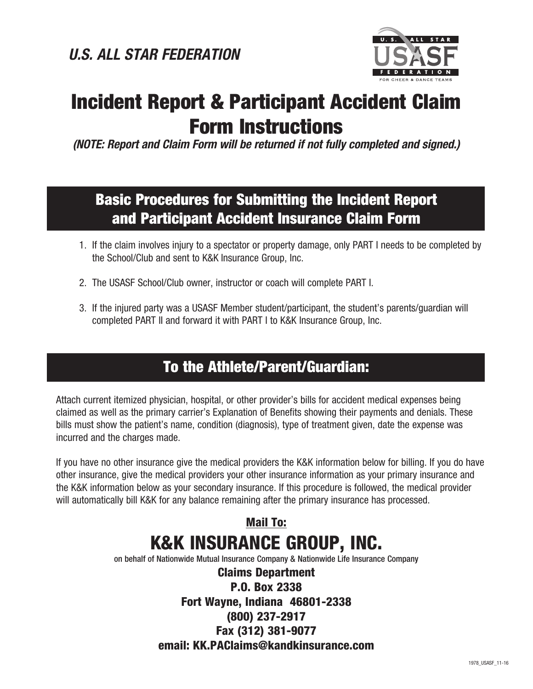

# Incident Report & Participant Accident Claim Form Instructions

*(NOTE: Report and Claim Form will be returned if not fully completed and signed.)*

# Basic Procedures for Submitting the Incident Report and Participant Accident Insurance Claim Form

- 1. If the claim involves injury to a spectator or property damage, only PART I needs to be completed by the School/Club and sent to K&K Insurance Group, Inc.
- 2. The USASF School/Club owner, instructor or coach will complete PART I.
- 3. If the injured party was a USASF Member student/participant, the student's parents/guardian will completed PART II and forward it with PART I to K&K Insurance Group, Inc.

# To the Athlete/Parent/Guardian:

 Attach current itemized physician, hospital, or other provider's bills for accident medical expenses being claimed as well as the primary carrier's Explanation of Benefits showing their payments and denials. These bills must show the patient's name, condition (diagnosis), type of treatment given, date the expense was incurred and the charges made.

 If you have no other insurance give the medical providers the K&K information below for billing. If you do have other insurance, give the medical providers your other insurance information as your primary insurance and the K&K information below as your secondary insurance. If this procedure is followed, the medical provider will automatically bill K&K for any balance remaining after the primary insurance has processed.

# Mail To: K&K INSURANCE GROUP, INC.

on behalf of Nationwide Mutual Insurance Company & Nationwide Life Insurance Company

Claims Department P.O. Box 2338 Fort Wayne, Indiana 46801-2338 (800) 237-2917 Fax (312) 381-9077 email: KK.PAClaims@kandkinsurance.com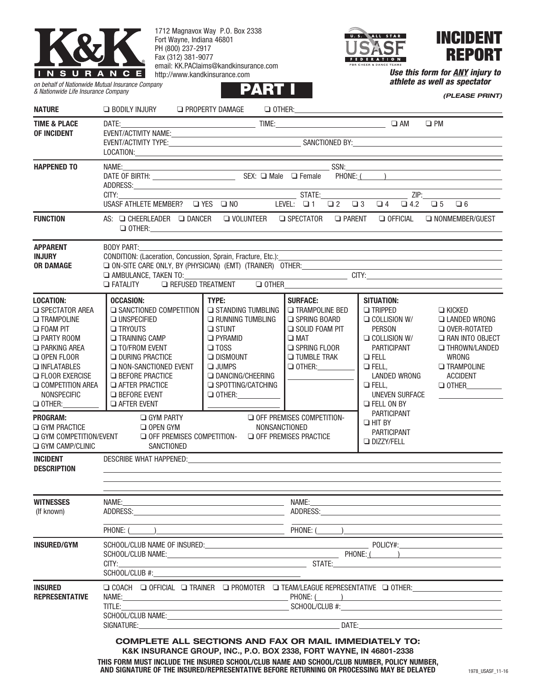

1712 Magnavox Way P.O. Box 2338 Fort Wayne, Indiana 46801 PH (800) 237-2917 Fax (312) 381-9077 email: KK.PAClaims@kandkinsurance.com http://www.kandkinsurance.com



INCIDENT REPORT

*(PLEASE PRINT)*

*Use this form for ANY injury to athlete as well as spectator* **PARTING** 

*on behalf of Nationwide Mutual Insurance Company & Nationwide Life Insurance Company*

| <b>NATURE</b>                                                                                                                                                                                                                                     | Q BODILY INJURY Q PROPERTY DAMAGE Q OTHER: Q OTHER:                                                                                                                                                                                                                                                                                                   |                                                                                                                                                                                                                   |                                                                                                                                                                                                                                        |                                                                                                                                                                                                                             |                                                                                                                                                                       |
|---------------------------------------------------------------------------------------------------------------------------------------------------------------------------------------------------------------------------------------------------|-------------------------------------------------------------------------------------------------------------------------------------------------------------------------------------------------------------------------------------------------------------------------------------------------------------------------------------------------------|-------------------------------------------------------------------------------------------------------------------------------------------------------------------------------------------------------------------|----------------------------------------------------------------------------------------------------------------------------------------------------------------------------------------------------------------------------------------|-----------------------------------------------------------------------------------------------------------------------------------------------------------------------------------------------------------------------------|-----------------------------------------------------------------------------------------------------------------------------------------------------------------------|
| <b>TIME &amp; PLACE</b><br>OF INCIDENT                                                                                                                                                                                                            |                                                                                                                                                                                                                                                                                                                                                       |                                                                                                                                                                                                                   |                                                                                                                                                                                                                                        |                                                                                                                                                                                                                             |                                                                                                                                                                       |
| <b>HAPPENED TO</b>                                                                                                                                                                                                                                | LOCATION: <b>Example 2020</b><br><u> 1980 - Johann Barn, mars eta biztanleria (</u><br>$\Box$ 4.2 $\Box$ 5 $\Box$ 6                                                                                                                                                                                                                                   |                                                                                                                                                                                                                   |                                                                                                                                                                                                                                        |                                                                                                                                                                                                                             |                                                                                                                                                                       |
| <b>FUNCTION</b>                                                                                                                                                                                                                                   | AS: Q CHEERLEADER Q DANCER Q VOLUNTEER Q SPECTATOR Q PARENT Q OFFICIAL<br>$\begin{tabular}{ c c c c } \hline \rule{0.3cm}{.0cm} \textbf{O THER:} \end{tabular}$                                                                                                                                                                                       |                                                                                                                                                                                                                   |                                                                                                                                                                                                                                        |                                                                                                                                                                                                                             | NONMEMBER/GUEST                                                                                                                                                       |
| <b>APPARENT</b><br><b>INJURY</b><br><b>OR DAMAGE</b>                                                                                                                                                                                              | BODY PART:<br>the control of the control of the control of the control of the control of the control of the control of the control of the control of the control of the control of the control of the control of the control of the control<br>CONDITION: (Laceration, Concussion, Sprain, Fracture, Etc.):<br>Q FATALITY Q REFUSED TREATMENT Q OTHER |                                                                                                                                                                                                                   |                                                                                                                                                                                                                                        |                                                                                                                                                                                                                             |                                                                                                                                                                       |
| <b>LOCATION:</b><br>SPECTATOR AREA<br><b>TRAMPOLINE</b><br><b>O</b> FOAM PIT<br><b>D PARTY ROOM</b><br><b>D</b> PARKING AREA<br>O OPEN FLOOR<br>INFLATABLES<br><b>D</b> FLOOR EXERCISE<br>$\Box$ COMPETITION AREA<br>NONSPECIFIC<br>$\Box$ OTHER: | <b>OCCASION:</b><br>SANCTIONED COMPETITION<br>$\square$ UNSPECIFIED<br><b>O</b> TRYOUTS<br><b>TRAINING CAMP</b><br>□ TO/FROM EVENT<br><b>Q DURING PRACTICE</b><br>NON-SANCTIONED EVENT<br><b>EXECUTE:</b> PRACTICE<br><b>EXAMPLE PRACTICE</b><br><b>D</b> BEFORE EVENT<br><b>Q AFTER EVENT</b>                                                        | TYPE:<br>STANDING TUMBLING<br>RUNNING TUMBLING<br>$\square$ STUNT<br><b>D</b> PYRAMID<br>$\Box$ TOSS<br>$\Box$ DISMOUNT<br>$\n  JUMPS\n$<br><b>DANCING/CHEERING</b><br>SPOTTING/CATCHING<br>O OTHER: ____________ | <b>SURFACE:</b><br><b>TRAMPOLINE BED</b><br>SPRING BOARD<br>SOLID FOAM PIT<br>$\square$ MAT<br>SPRING FLOOR<br><b>TUMBLE TRAK</b><br>$\Box$ OTHER:                                                                                     | <b>SITUATION:</b><br>$\Box$ TRIPPED<br>$\Box$ COLLISION W/<br><b>PERSON</b><br>$\Box$ COLLISION W/<br>PARTICIPANT<br>$Q$ FELL<br>$\Box$ FELL,<br>LANDED WRONG<br>$Q$ FELL,<br><b>UNEVEN SURFACE</b><br><b>EXECUTE</b> ON BY | $\Box$ KICKED<br><b>LANDED WRONG</b><br>O OVER-ROTATED<br>RAN INTO OBJECT<br><b>IN THROWN/LANDED</b><br>WRONG<br><b>TRAMPOLINE</b><br><b>ACCIDENT</b><br>$\Box$ OTHER |
| <b>PROGRAM:</b><br>$\Box$ GYM PRACTICE<br><b>Q GYM COMPETITION/EVENT</b><br>$\Box$ GYM CAMP/CLINIC                                                                                                                                                | $\Box$ gym party<br>$\Box$ OPEN GYM<br>$\Box$ OFF PREMISES COMPETITION- $\Box$ OFF PREMISES PRACTICE<br>SANCTIONED                                                                                                                                                                                                                                    | O OFF PREMISES COMPETITION-<br>NONSANCTIONED                                                                                                                                                                      | <b>PARTICIPANT</b><br>$\Box$ HIT BY<br><b>PARTICIPANT</b><br><b>DIZZY/FELL</b>                                                                                                                                                         |                                                                                                                                                                                                                             |                                                                                                                                                                       |
| <b>INCIDENT</b><br><b>DESCRIPTION</b>                                                                                                                                                                                                             | <b>DESCRIBE WHAT HAPPENED: SAMPLE ASSAULT ASSAULT NAMES</b>                                                                                                                                                                                                                                                                                           |                                                                                                                                                                                                                   |                                                                                                                                                                                                                                        |                                                                                                                                                                                                                             |                                                                                                                                                                       |
| <b>WITNESSES</b><br>(If known)                                                                                                                                                                                                                    | NAME:<br>$PHONE: (\_\_\_\_\_\_\_\_\$                                                                                                                                                                                                                                                                                                                  | <u> 1989 - Johann Harry Harry Harry Harry Harry Harry Harry Harry Harry Harry Harry Harry Harry Harry Harry Harry</u>                                                                                             | NAME:<br>ADDRESS: AND THE SAME SERVICE OF THE SAME STATE OF THE SAME STATE OF THE SAME STATE OF THE SAME STATE OF THE SAME STATE OF THE SAME STATE OF THE SAME STATE OF THE SAME STATE OF THE SAME STATE OF THE SAME STATE OF THE SAME |                                                                                                                                                                                                                             | <u> 1980 - John Stein, markin sammen fyrstu stjórn og fyrir sem fyrir sem fyrir sem fyrir sem fyrir sem fyrir s</u>                                                   |
| <b>INSURED/GYM</b>                                                                                                                                                                                                                                | CITY:<br>SCHOOL/CLUB #:<br><u> 1989 - Johann Barbara, martxa alemaniar argumento este alemaniar alemaniar este alemaniar este alemaniar es</u> te                                                                                                                                                                                                     |                                                                                                                                                                                                                   |                                                                                                                                                                                                                                        |                                                                                                                                                                                                                             |                                                                                                                                                                       |
| <b>INSURED</b><br><b>REPRESENTATIVE</b>                                                                                                                                                                                                           | NAME: PHONE: ( )<br>TITLE:<br>SCHOOL/CLUB NAME: And All Alberta Contract Contract Contract Contract Contract Contract Contract Contract Contract Contract Contract Contract Contract Contract Contract Contract Contract Contract Contract Contract Contract                                                                                          | $\blacksquare$ SCHOOL/CLUB #: $\blacksquare$                                                                                                                                                                      |                                                                                                                                                                                                                                        |                                                                                                                                                                                                                             |                                                                                                                                                                       |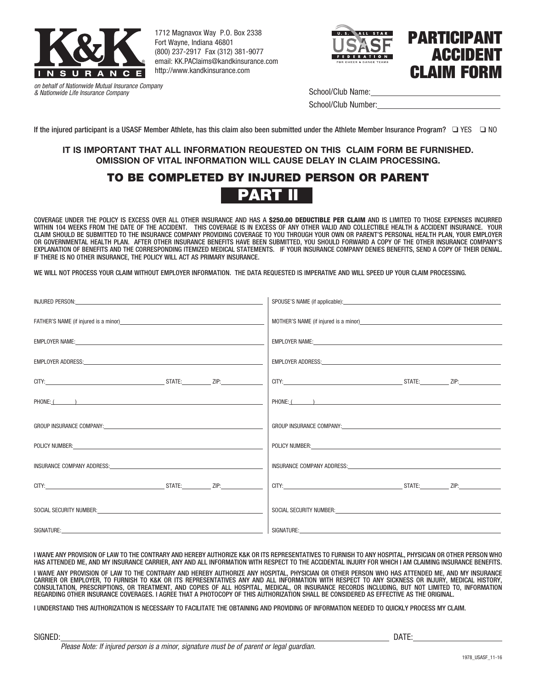

1712 Magnavox Way P.O. Box 2338 Fort Wayne, Indiana 46801 (800) 237-2917 Fax (312) 381-9077 email: KK.PAClaims@kandkinsurance.com http://www.kandkinsurance.com





*on behalf of Nationwide Mutual Insurance Company & Nationwide Life Insurance Company*

School/Club Name:

School/Club Number:

If the injured participant is a USASF Member Athlete, has this claim also been submitted under the Athlete Member Insurance Program?  $\Box$  YES  $\Box$  NO

# **IT IS IMPORTANT THAT ALL INFORMATION REQUESTED ON THIS CLAIM FORM BE FURNISHED. OMISSION OF VITAL INFORMATION WILL CAUSE DELAY IN CLAIM PROCESSING.**

# TO BE COMPLETED BY INJURED PERSON OR PARENT



COVERAGE UNDER THE POLICY IS EXCESS OVER ALL OTHER INSURANCE AND HAS A \$250.00 DEDUCTIBLE PER CLAIM AND IS LIMITED TO THOSE EXPENSES INCURRED WITHIN 104 WEEKS FROM THE DATE OF THE ACCIDENT. THIS COVERAGE IS IN EXCESS OF ANY OTHER VALID AND COLLECTIBLE HEALTH & ACCIDENT INSURANCE. YOUR CLAIM SHOULD BE SUBMITTED TO THE INSURANCE COMPANY PROVIDING COVERAGE TO YOU THROUGH YOUR OWN OR PARENT'S PERSONAL HEALTH PLAN, YOUR EMPLOYER OR GOVERNMENTAL HEALTH PLAN. AFTER OTHER INSURANCE BENEFITS HAVE BEEN SUBMITTED, YOU SHOULD FORWARD A COPY OF THE OTHER INSURANCE COMPANY'S EXPLANATION OF BENEFITS AND THE CORRESPONDING ITEMIZED MEDICAL STATEMENTS. IF YOUR INSURANCE COMPANY DENIES BENEFITS, SEND A COPY OF THEIR DENIAL. IF THERE IS NO OTHER INSURANCE, THE POLICY WILL ACT AS PRIMARY INSURANCE.

WE WILL NOT PROCESS YOUR CLAIM WITHOUT EMPLOYER INFORMATION. THE DATA REQUESTED IS IMPERATIVE AND WILL SPEED UP YOUR CLAIM PROCESSING.

| INJURED PERSON: University of the contract of the contract of the contract of the contract of the contract of                                                                                                                  | SPOUSE'S NAME (if applicable): example and a series of the series of the series of the series of the series of the series of the series of the series of the series of the series of the series of the series of the series of |
|--------------------------------------------------------------------------------------------------------------------------------------------------------------------------------------------------------------------------------|--------------------------------------------------------------------------------------------------------------------------------------------------------------------------------------------------------------------------------|
|                                                                                                                                                                                                                                | MOTHER'S NAME (if injured is a minor)                                                                                                                                                                                          |
|                                                                                                                                                                                                                                | EMPLOYER NAME: University of the contract of the contract of the contract of the contract of the contract of the contract of the contract of the contract of the contract of the contract of the contract of the contract of t |
|                                                                                                                                                                                                                                | EMPLOYER ADDRESS: University of the contract of the contract of the contract of the contract of the contract of                                                                                                                |
|                                                                                                                                                                                                                                |                                                                                                                                                                                                                                |
| PHONE: ( )                                                                                                                                                                                                                     | PHONE: ( )                                                                                                                                                                                                                     |
|                                                                                                                                                                                                                                | GROUP INSURANCE COMPANY: COMPANY: COMPANY AND ACCOUNT OF A STATE OF A STATE OF A STATE OF A STATE OF A STATE O                                                                                                                 |
| POLICY NUMBER: The contract of the contract of the contract of the contract of the contract of the contract of                                                                                                                 | POLICY NUMBER: The contract of the contract of the contract of the contract of the contract of the contract of the contract of the contract of the contract of the contract of the contract of the contract of the contract of |
| INSURANCE COMPANY ADDRESS: New York Company and the company of the company of the company of the company of the company of the company of the company of the company of the company of the company of the company of the compa | INSURANCE COMPANY ADDRESS: New York COMPANY ADDRESS:                                                                                                                                                                           |
|                                                                                                                                                                                                                                |                                                                                                                                                                                                                                |
| SOCIAL SECURITY NUMBER: The contract of the contract of the contract of the contract of the contract of the contract of the contract of the contract of the contract of the contract of the contract of the contract of the co | SOCIAL SECURITY NUMBER: CONTRACT CONTRACT CONTRACT CONTRACT CONTRACT CONTRACT CONTRACT CONTRACT CONTRACT CONTR                                                                                                                 |
|                                                                                                                                                                                                                                |                                                                                                                                                                                                                                |

I WAIVE ANY PROVISION OF LAW TO THE CONTRARY AND HEREBY AUTHORIZE K&K OR ITS REPRESENTATIVES TO FURNISH TO ANY HOSPITAL, PHYSICIAN OR OTHER PERSON WHO HAS ATTENDED ME, AND MY INSURANCE CARRIER, ANY AND ALL INFORMATION WITH RESPECT TO THE ACCIDENTAL INJURY FOR WHICH I AM CLAIMING INSURANCE BENEFITS.

I WAIVE ANY PROVISION OF LAW TO THE CONTRARY AND HEREBY AUTHORIZE ANY HOSPITAL, PHYSICIAN OR OTHER PERSON WHO HAS ATTENDED ME, AND MY INSURANCE CARRIER OR EMPLOYER, TO FURNISH TO K&K OR ITS REPRESENTATIVES ANY AND ALL INFORMATION WITH RESPECT TO ANY SICKNESS OR INJURY, MEDICAL HISTORY, CONSULTATION, PRESCRIPTIONS, OR TREATMENT, AND COPIES OF ALL HOSPITAL, MEDICAL, OR INSURANCE RECORDS INCLUDING, BUT NOT LIMITED TO, INFORMATION REGARDING OTHER INSURANCE COVERAGES. I AGREE THAT A PHOTOCOPY OF THIS AUTHORIZATION SHALL BE CONSIDERED AS EFFECTIVE AS THE ORIGINAL.

I UNDERSTAND THIS AUTHORIZATION IS NECESSARY TO FACILITATE THE OBTAINING AND PROVIDING OF INFORMATION NEEDED TO QUICKLY PROCESS MY CLAIM.

SIGNED: DATE:

*Please Note: If injured person is a minor, signature must be of parent or legal guardian.*